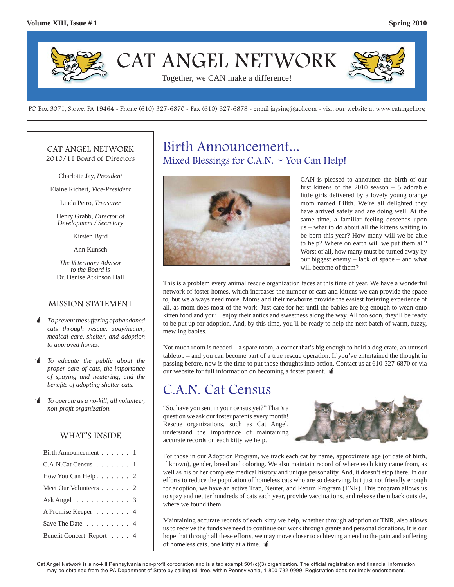

PO Box 3071, Stowe, PA 19464 - Phone (610) 327-6870 - Fax (610) 327-6878 - email jaysing@aol.com - visit our website at www.catangel.org

### CAT ANGEL NETWORK 2010/11 Board of Directors

Charlotte Jay, *President*

Elaine Richert, *Vice-President*

Linda Petro, *Treasurer*

Henry Grabb, *Director of Development / Secretary*

Kirsten Byrd

Ann Kunsch

*The Veterinary Advisor to the Board is*  Dr. Denise Atkinson Hall

### MISSION STATEMENT

- *To prevent the suffering of abandoned cats through rescue, spay/neuter, medical care, shelter, and adoption to approved homes.*
- *To educate the public about the proper care of cats, the importance of spaying and neutering, and the benefi ts of adopting shelter cats.*
- *To operate as a no-kill, all volunteer, non-profit organization.*

### WHAT'S INSIDE

| Birth Announcement 1                       |
|--------------------------------------------|
| $C.A.N.Cat Census \dots \dots \dots \dots$ |
| How You Can Help. $\ldots$ 2               |
| Meet Our Volunteers 2                      |
| Ask Angel $\ldots \ldots \ldots$ 3         |
| A Promise Keeper 4                         |
| Save The Date $\ldots$ , 4                 |
| Benefit Concert Report 4                   |

# Birth Announcement... Mixed Blessings for C.A.N.  $\sim$  You Can Help!



CAN is pleased to announce the birth of our first kittens of the  $2010$  season  $-5$  adorable little girls delivered by a lovely young orange mom named Lilith. We're all delighted they have arrived safely and are doing well. At the same time, a familiar feeling descends upon us – what to do about all the kittens waiting to be born this year? How many will we be able to help? Where on earth will we put them all? Worst of all, how many must be turned away by our biggest enemy – lack of space – and what will become of them?

This is a problem every animal rescue organization faces at this time of year. We have a wonderful network of foster homes, which increases the number of cats and kittens we can provide the space to, but we always need more. Moms and their newborns provide the easiest fostering experience of all, as mom does most of the work. Just care for her until the babies are big enough to wean onto kitten food and you'll enjoy their antics and sweetness along the way. All too soon, they'll be ready to be put up for adoption. And, by this time, you'll be ready to help the next batch of warm, fuzzy, mewling babies.

Not much room is needed – a spare room, a corner that's big enough to hold a dog crate, an unused tabletop – and you can become part of a true rescue operation. If you've entertained the thought in passing before, now is the time to put those thoughts into action. Contact us at 610-327-6870 or via our website for full information on becoming a foster parent.

# C.A.N. Cat Census

"So, have you sent in your census yet?" That's a question we ask our foster parents every month! Rescue organizations, such as Cat Angel, understand the importance of maintaining accurate records on each kitty we help.



For those in our Adoption Program, we track each cat by name, approximate age (or date of birth, if known), gender, breed and coloring. We also maintain record of where each kitty came from, as well as his or her complete medical history and unique personality. And, it doesn't stop there. In our efforts to reduce the population of homeless cats who are so deserving, but just not friendly enough for adoption, we have an active Trap, Neuter, and Return Program (TNR). This program allows us to spay and neuter hundreds of cats each year, provide vaccinations, and release them back outside, where we found them.

Maintaining accurate records of each kitty we help, whether through adoption or TNR, also allows us to receive the funds we need to continue our work through grants and personal donations. It is our hope that through all these efforts, we may move closer to achieving an end to the pain and suffering of homeless cats, one kitty at a time.  $\mathbf{\hat{A}}$ 

Cat Angel Network is a no-kill Pennsylvania non-profit corporation and is a tax exempt 501(c)(3) organization. The official registration and financial information may be obtained from the PA Department of State by calling toll-free, within Pennsylvania, 1-800-732-0999. Registration does not imply endorsement.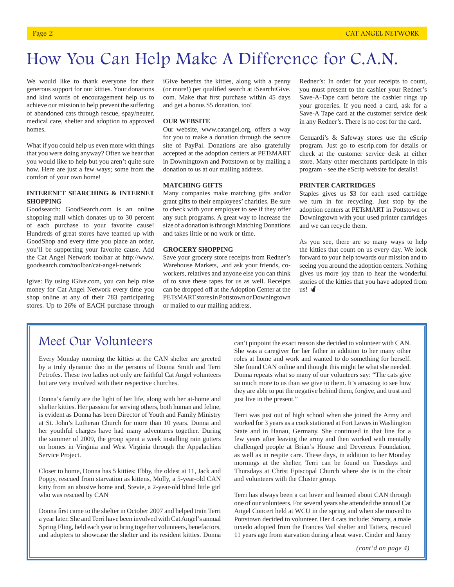# How You Can Help Make A Difference for C.A.N.

We would like to thank everyone for their generous support for our kitties. Your donations and kind words of encouragement help us to achieve our mission to help prevent the suffering of abandoned cats through rescue, spay/neuter, medical care, shelter and adoption to approved homes.

What if you could help us even more with things that you were doing anyway? Often we hear that you would like to help but you aren't quite sure how. Here are just a few ways; some from the comfort of your own home!

#### **INTERENET SEARCHING & INTERNET SHOPPING**

Goodsearch: GoodSearch.com is an online shopping mall which donates up to 30 percent of each purchase to your favorite cause! Hundreds of great stores have teamed up with GoodShop and every time you place an order, you'll be supporting your favorite cause. Add the Cat Angel Network toolbar at http://www. goodsearch.com/toolbar/cat-angel-network

Igive: By using iGive.com, you can help raise money for Cat Angel Network every time you shop online at any of their 783 participating stores. Up to 26% of EACH purchase through iGive benefits the kitties, along with a penny (or more!) per qualified search at iSearchiGive. com. Make that first purchase within 45 days and get a bonus \$5 donation, too!

#### **OUR WEBSITE**

Our website, www.catangel.org, offers a way for you to make a donation through the secure site of PayPal. Donations are also gratefully accepted at the adoption centers at PETsMART in Downingtown and Pottstown or by mailing a donation to us at our mailing address.

#### **MATCHING GIFTS**

Many companies make matching gifts and/or grant gifts to their employees' charities. Be sure to check with your employer to see if they offer any such programs. A great way to increase the size of a donation is through Matching Donations and takes little or no work or time.

#### **GROCERY SHOPPING**

Save your grocery store receipts from Redner's Warehouse Markets, .and ask your friends, coworkers, relatives and anyone else you can think of to save these tapes for us as well. Receipts can be dropped off at the Adoption Center at the PETsMART stores in Pottstown or Downingtown or mailed to our mailing address.

Redner's: In order for your receipts to count, you must present to the cashier your Redner's Save-A-Tape card before the cashier rings up your groceries. If you need a card, ask for a Save-A Tape card at the customer service desk in any Redner's. There is no cost for the card.

Genuardi's & Safeway stores use the eScrip program. Just go to escrip.com for details or check at the customer service desk at either store. Many other merchants participate in this program - see the eScrip website for details!

#### **PRINTER CARTRIDGES**

Staples gives us \$3 for each used cartridge we turn in for recycling. Just stop by the adoption centers at PETsMART in Pottstown or Downingtown with your used printer cartridges and we can recycle them.

As you see, there are so many ways to help the kitties that count on us every day. We look forward to your help towards our mission and to seeing you around the adoption centers. Nothing gives us more joy than to hear the wonderful stories of the kitties that you have adopted from  $us!$   $\mathcal{U}$ 

## Meet Our Volunteers

Every Monday morning the kitties at the CAN shelter are greeted by a truly dynamic duo in the persons of Donna Smith and Terri Petrofes. These two ladies not only are faithful Cat Angel volunteers but are very involved with their respective churches.

Donna's family are the light of her life, along with her at-home and shelter kitties. Her passion for serving others, both human and feline, is evident as Donna has been Director of Youth and Family Ministry at St. John's Lutheran Church for more than 10 years. Donna and her youthful charges have had many adventures together. During the summer of 2009, the group spent a week installing rain gutters on homes in Virginia and West Virginia through the Appalachian Service Project.

Closer to home, Donna has 5 kitties: Ebby, the oldest at 11, Jack and Poppy, rescued from starvation as kittens, Molly, a 5-year-old CAN kitty from an abusive home and, Stevie, a 2-year-old blind little girl who was rescued by CAN

Donna first came to the shelter in October 2007 and helped train Terri a year later. She and Terri have been involved with Cat Angel's annual Spring Fling, held each year to bring together volunteers, benefactors, and adopters to showcase the shelter and its resident kitties. Donna can't pinpoint the exact reason she decided to volunteer with CAN. She was a caregiver for her father in addition to her many other roles at home and work and wanted to do something for herself. She found CAN online and thought this might be what she needed. Donna repeats what so many of our volunteers say: "The cats give so much more to us than we give to them. It's amazing to see how they are able to put the negative behind them, forgive, and trust and just live in the present."

Terri was just out of high school when she joined the Army and worked for 3 years as a cook stationed at Fort Lewes in Washington State and in Hanau, Germany. She continued in that line for a few years after leaving the army and then worked with mentally challenged people at Brian's House and Devereux Foundation, as well as in respite care. These days, in addition to her Monday mornings at the shelter, Terri can be found on Tuesdays and Thursdays at Christ Episcopal Church where she is in the choir and volunteers with the Cluster group.

Terri has always been a cat lover and learned about CAN through one of our volunteers. For several years she attended the annual Cat Angel Concert held at WCU in the spring and when she moved to Pottstown decided to volunteer. Her 4 cats include: Smarty, a male tuxedo adopted from the Frances Vail shelter and Tatters, rescued 11 years ago from starvation during a heat wave. Cinder and Janey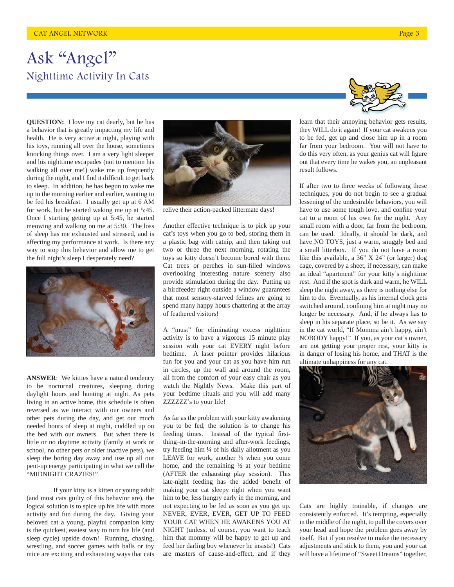# Ask "Angel" Nighttime Activity In Cats

**QUESTION:** I love my cat dearly, but he has a behavior that is greatly impacting my life and health. He is very active at night, playing with his toys, running all over the house, sometimes knocking things over. I am a very light sleeper and his nighttime escapades (not to mention his walking all over me!) wake me up frequently during the night, and I find it difficult to get back to sleep. In addition, he has begun to wake me up in the morning earlier and earlier, wanting to be fed his breakfast. I usually get up at 6 AM for work, but he started waking me up at 5:45. Once I starting getting up at 5:45, he started meowing and walking on me at 5:30. The loss of sleep has me exhausted and stressed, and is affecting my performance at work. Is there any way to stop this behavior and allow me to get the full night's sleep I desperately need?



**ANSWER**: We kitties have a natural tendency to be nocturnal creatures, sleeping during daylight hours and hunting at night. As pets living in an active home, this schedule is often reversed as we interact with our owners and other pets during the day, and get our much needed hours of sleep at night, cuddled up on the bed with our owners. But when there is little or no daytime activity (family at work or school, no other pets or older inactive pets), we sleep the boring day away and use up all our pent-up energy participating in what we call the "MIDNIGHT CRAZIES!"

 If your kitty is a kitten or young adult (and most cats guilty of this behavior are), the logical solution is to spice up his life with more activity and fun during the day. Giving your beloved cat a young, playful companion kitty is the quickest, easiest way to turn his life (and sleep cycle) upside down! Running, chasing, wrestling, and soccer games with balls or toy mice are exciting and exhausting ways that cats



relive their action-packed littermate days!

Another effective technique is to pick up your cat's toys when you go to bed, storing them in a plastic bag with catnip, and then taking out two or three the next morning, rotating the toys so kitty doesn't become bored with them. Cat trees or perches in sun-filled windows overlooking interesting nature scenery also provide stimulation during the day. Putting up a birdfeeder right outside a window guarantees that most sensory-starved felines are going to spend many happy hours chattering at the array of feathered visitors!

A "must" for eliminating excess nighttime activity is to have a vigorous 15 minute play session with your cat EVERY night before bedtime. A laser pointer provides hilarious fun for you and your cat as you have him run in circles, up the wall and around the room, all from the comfort of your easy chair as you watch the Nightly News. Make this part of your bedtime rituals and you will add many ZZZZZZ's to your life!

As far as the problem with your kitty awakening you to be fed, the solution is to change his feeding times. Instead of the typical firstthing–in-the-morning and after-work feedings, try feeding him ¼ of his daily allotment as you LEAVE for work, another  $\frac{1}{4}$  when you come home, and the remaining ½ at your bedtime (AFTER the exhausting play session). This late-night feeding has the added benefit of making your cat sleepy right when you want him to be, less hungry early in the morning, and not expecting to be fed as soon as you get up. NEVER, EVER, EVER, GET UP TO FEED YOUR CAT WHEN HE AWAKENS YOU AT NIGHT (unless, of course, you want to teach him that mommy will be happy to get up and feed her darling boy whenever he insists!) Cats are masters of cause-and-effect, and if they



learn that their annoying behavior gets results, they WILL do it again! If your cat awakens you to be fed, get up and close him up in a room far from your bedroom. You will not have to do this very often, as your genius cat will figure out that every time he wakes you, an unpleasant result follows.

If after two to three weeks of following these techniques, you do not begin to see a gradual lessening of the undesirable behaviors, you will have to use some tough love, and confine your cat to a room of his own for the night. Any small room with a door, far from the bedroom, can be used. Ideally, it should be dark, and have NO TOYS, just a warm, snuggly bed and a small litterbox. If you do not have a room like this available, a 36" X 24" (or larger) dog cage, covered by a sheet, if necessary, can make an ideal "apartment" for your kitty's nighttime rest. And if the spot is dark and warm, he WILL sleep the night away, as there is nothing else for him to do. Eventually, as his internal clock gets switched around, confining him at night may no longer be necessary. And, if he always has to sleep in his separate place, so be it. As we say in the cat world, "If Momma ain't happy, ain't NOBODY happy!" If you, as your cat's owner, are not getting your proper rest, your kitty is in danger of losing his home, and THAT is the ultimate unhappiness for any cat.



Cats are highly trainable, if changes are consistently enforced. It's tempting, especially in the middle of the night, to pull the covers over your head and hope the problem goes away by itself. But if you resolve to make the necessary adjustments and stick to them, you and your cat will have a lifetime of "Sweet Dreams" together,